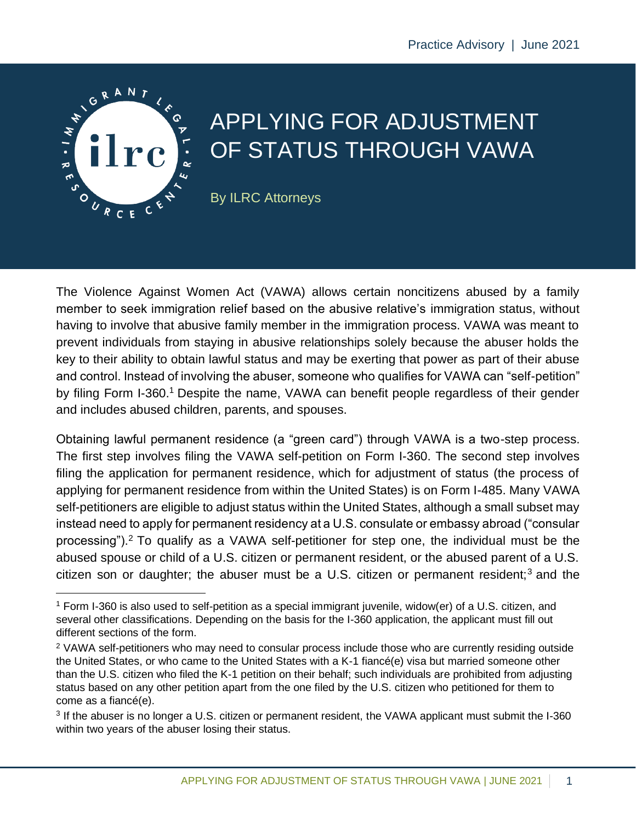

# APPLYING FOR ADJUSTMENT OF STATUS THROUGH VAWA

By ILRC Attorneys

The Violence Against Women Act (VAWA) allows certain noncitizens abused by a family member to seek immigration relief based on the abusive relative's immigration status, without having to involve that abusive family member in the immigration process. VAWA was meant to prevent individuals from staying in abusive relationships solely because the abuser holds the key to their ability to obtain lawful status and may be exerting that power as part of their abuse and control. Instead of involving the abuser, someone who qualifies for VAWA can "self-petition" by filing Form I-360.<sup>1</sup> Despite the name, VAWA can benefit people regardless of their gender and includes abused children, parents, and spouses.

Obtaining lawful permanent residence (a "green card") through VAWA is a two-step process. The first step involves filing the VAWA self-petition on Form I-360. The second step involves filing the application for permanent residence, which for adjustment of status (the process of applying for permanent residence from within the United States) is on Form I-485. Many VAWA self-petitioners are eligible to adjust status within the United States, although a small subset may instead need to apply for permanent residency at a U.S. consulate or embassy abroad ("consular processing").<sup>2</sup> To qualify as a VAWA self-petitioner for step one, the individual must be the abused spouse or child of a U.S. citizen or permanent resident, or the abused parent of a U.S. citizen son or daughter; the abuser must be a U.S. citizen or permanent resident;<sup>3</sup> and the

<sup>1</sup> Form I-360 is also used to self-petition as a special immigrant juvenile, widow(er) of a U.S. citizen, and several other classifications. Depending on the basis for the I-360 application, the applicant must fill out different sections of the form.

<sup>&</sup>lt;sup>2</sup> VAWA self-petitioners who may need to consular process include those who are currently residing outside the United States, or who came to the United States with a K-1 fiancé(e) visa but married someone other than the U.S. citizen who filed the K-1 petition on their behalf; such individuals are prohibited from adjusting status based on any other petition apart from the one filed by the U.S. citizen who petitioned for them to come as a fiancé(e).

<sup>&</sup>lt;sup>3</sup> If the abuser is no longer a U.S. citizen or permanent resident, the VAWA applicant must submit the I-360 within two years of the abuser losing their status.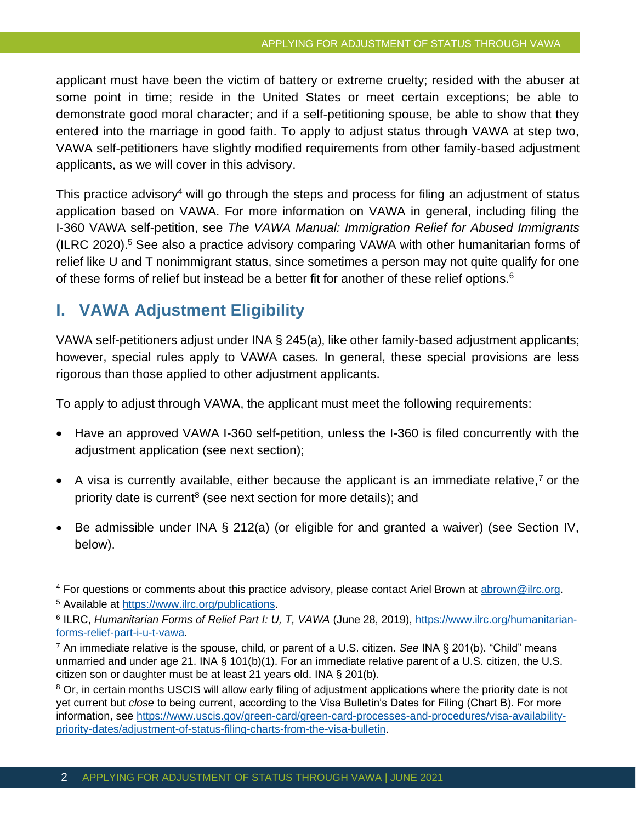applicant must have been the victim of battery or extreme cruelty; resided with the abuser at some point in time; reside in the United States or meet certain exceptions; be able to demonstrate good moral character; and if a self-petitioning spouse, be able to show that they entered into the marriage in good faith. To apply to adjust status through VAWA at step two, VAWA self-petitioners have slightly modified requirements from other family-based adjustment applicants, as we will cover in this advisory.

This practice advisory<sup>4</sup> will go through the steps and process for filing an adjustment of status application based on VAWA. For more information on VAWA in general, including filing the I-360 VAWA self-petition, see *The VAWA Manual: Immigration Relief for Abused Immigrants* (ILRC 2020).<sup>5</sup> See also a practice advisory comparing VAWA with other humanitarian forms of relief like U and T nonimmigrant status, since sometimes a person may not quite qualify for one of these forms of relief but instead be a better fit for another of these relief options.<sup>6</sup>

# **I. VAWA Adjustment Eligibility**

VAWA self-petitioners adjust under INA § 245(a), like other family-based adjustment applicants; however, special rules apply to VAWA cases. In general, these special provisions are less rigorous than those applied to other adjustment applicants.

To apply to adjust through VAWA, the applicant must meet the following requirements:

- Have an approved VAWA I-360 self-petition, unless the I-360 is filed concurrently with the adjustment application (see next section);
- A visa is currently available, either because the applicant is an immediate relative,<sup>7</sup> or the priority date is current<sup>8</sup> (see next section for more details); and
- Be admissible under INA § 212(a) (or eligible for and granted a waiver) (see Section IV, below).

<sup>4</sup> For questions or comments about this practice advisory, please contact Ariel Brown at [abrown@ilrc.org.](mailto:abrown@ilrc.org)

<sup>5</sup> Available at [https://www.ilrc.org/publications.](https://www.ilrc.org/publications)

<sup>&</sup>lt;sup>6</sup> ILRC, *Humanitarian Forms of Relief Part I: U, T, VAWA* (June 28, 2019), [https://www.ilrc.org/humanitarian](https://www.ilrc.org/humanitarian-forms-relief-part-i-u-t-vawa)[forms-relief-part-i-u-t-vawa.](https://www.ilrc.org/humanitarian-forms-relief-part-i-u-t-vawa)

<sup>7</sup> An immediate relative is the spouse, child, or parent of a U.S. citizen. *See* INA § 201(b). "Child" means unmarried and under age 21. INA § 101(b)(1). For an immediate relative parent of a U.S. citizen, the U.S. citizen son or daughter must be at least 21 years old. INA § 201(b).

<sup>&</sup>lt;sup>8</sup> Or, in certain months USCIS will allow early filing of adjustment applications where the priority date is not yet current but *close* to being current, according to the Visa Bulletin's Dates for Filing (Chart B). For more information, see [https://www.uscis.gov/green-card/green-card-processes-and-procedures/visa-availability](https://www.uscis.gov/green-card/green-card-processes-and-procedures/visa-availability-priority-dates/adjustment-of-status-filing-charts-from-the-visa-bulletin)[priority-dates/adjustment-of-status-filing-charts-from-the-visa-bulletin.](https://www.uscis.gov/green-card/green-card-processes-and-procedures/visa-availability-priority-dates/adjustment-of-status-filing-charts-from-the-visa-bulletin)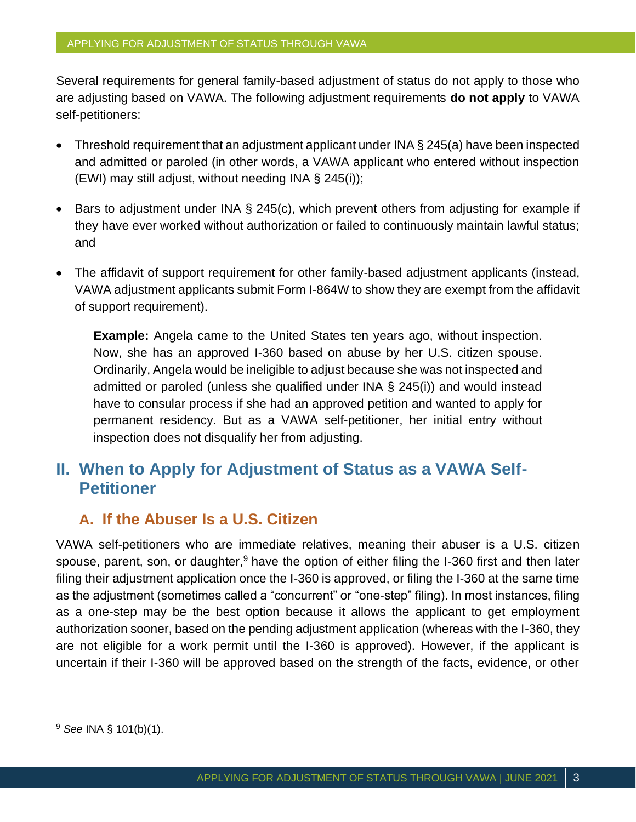Several requirements for general family-based adjustment of status do not apply to those who are adjusting based on VAWA. The following adjustment requirements **do not apply** to VAWA self-petitioners:

- Threshold requirement that an adjustment applicant under INA § 245(a) have been inspected and admitted or paroled (in other words, a VAWA applicant who entered without inspection (EWI) may still adjust, without needing INA § 245(i));
- Bars to adjustment under INA § 245(c), which prevent others from adjusting for example if they have ever worked without authorization or failed to continuously maintain lawful status; and
- The affidavit of support requirement for other family-based adjustment applicants (instead, VAWA adjustment applicants submit Form I-864W to show they are exempt from the affidavit of support requirement).

**Example:** Angela came to the United States ten years ago, without inspection. Now, she has an approved I-360 based on abuse by her U.S. citizen spouse. Ordinarily, Angela would be ineligible to adjust because she was not inspected and admitted or paroled (unless she qualified under INA § 245(i)) and would instead have to consular process if she had an approved petition and wanted to apply for permanent residency. But as a VAWA self-petitioner, her initial entry without inspection does not disqualify her from adjusting.

# **II. When to Apply for Adjustment of Status as a VAWA Self-Petitioner**

### **A. If the Abuser Is a U.S. Citizen**

VAWA self-petitioners who are immediate relatives, meaning their abuser is a U.S. citizen spouse, parent, son, or daughter,  $9$  have the option of either filing the I-360 first and then later filing their adjustment application once the I-360 is approved, or filing the I-360 at the same time as the adjustment (sometimes called a "concurrent" or "one-step" filing). In most instances, filing as a one-step may be the best option because it allows the applicant to get employment authorization sooner, based on the pending adjustment application (whereas with the I-360, they are not eligible for a work permit until the I-360 is approved). However, if the applicant is uncertain if their I-360 will be approved based on the strength of the facts, evidence, or other

<sup>9</sup> *See* INA § 101(b)(1).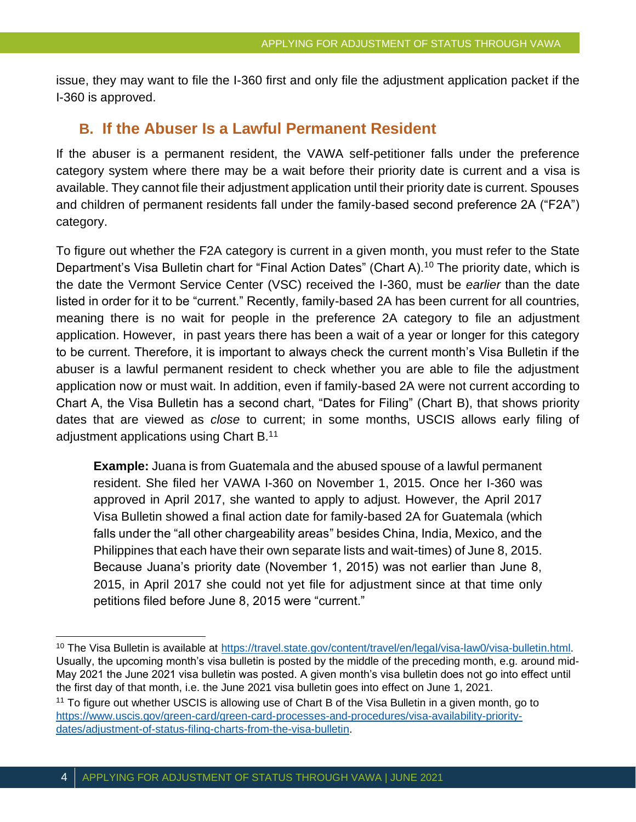issue, they may want to file the I-360 first and only file the adjustment application packet if the I-360 is approved.

#### **B. If the Abuser Is a Lawful Permanent Resident**

If the abuser is a permanent resident, the VAWA self-petitioner falls under the preference category system where there may be a wait before their priority date is current and a visa is available. They cannot file their adjustment application until their priority date is current. Spouses and children of permanent residents fall under the family-based second preference 2A ("F2A") category.

To figure out whether the F2A category is current in a given month, you must refer to the State Department's Visa Bulletin chart for "Final Action Dates" (Chart A).<sup>10</sup> The priority date, which is the date the Vermont Service Center (VSC) received the I-360, must be *earlier* than the date listed in order for it to be "current." Recently, family-based 2A has been current for all countries, meaning there is no wait for people in the preference 2A category to file an adjustment application. However, in past years there has been a wait of a year or longer for this category to be current. Therefore, it is important to always check the current month's Visa Bulletin if the abuser is a lawful permanent resident to check whether you are able to file the adjustment application now or must wait. In addition, even if family-based 2A were not current according to Chart A, the Visa Bulletin has a second chart, "Dates for Filing" (Chart B), that shows priority dates that are viewed as *close* to current; in some months, USCIS allows early filing of adjustment applications using Chart B.<sup>11</sup>

**Example:** Juana is from Guatemala and the abused spouse of a lawful permanent resident. She filed her VAWA I-360 on November 1, 2015. Once her I-360 was approved in April 2017, she wanted to apply to adjust. However, the April 2017 Visa Bulletin showed a final action date for family-based 2A for Guatemala (which falls under the "all other chargeability areas" besides China, India, Mexico, and the Philippines that each have their own separate lists and wait-times) of June 8, 2015. Because Juana's priority date (November 1, 2015) was not earlier than June 8, 2015, in April 2017 she could not yet file for adjustment since at that time only petitions filed before June 8, 2015 were "current."

<sup>10</sup> The Visa Bulletin is available at [https://travel.state.gov/content/travel/en/legal/visa-law0/visa-bulletin.html.](https://travel.state.gov/content/travel/en/legal/visa-law0/visa-bulletin.html) Usually, the upcoming month's visa bulletin is posted by the middle of the preceding month, e.g. around mid-May 2021 the June 2021 visa bulletin was posted. A given month's visa bulletin does not go into effect until the first day of that month, i.e. the June 2021 visa bulletin goes into effect on June 1, 2021.

<sup>&</sup>lt;sup>11</sup> To figure out whether USCIS is allowing use of Chart B of the Visa Bulletin in a given month, go to [https://www.uscis.gov/green-card/green-card-processes-and-procedures/visa-availability-priority](https://www.uscis.gov/green-card/green-card-processes-and-procedures/visa-availability-priority-dates/adjustment-of-status-filing-charts-from-the-visa-bulletin)[dates/adjustment-of-status-filing-charts-from-the-visa-bulletin.](https://www.uscis.gov/green-card/green-card-processes-and-procedures/visa-availability-priority-dates/adjustment-of-status-filing-charts-from-the-visa-bulletin)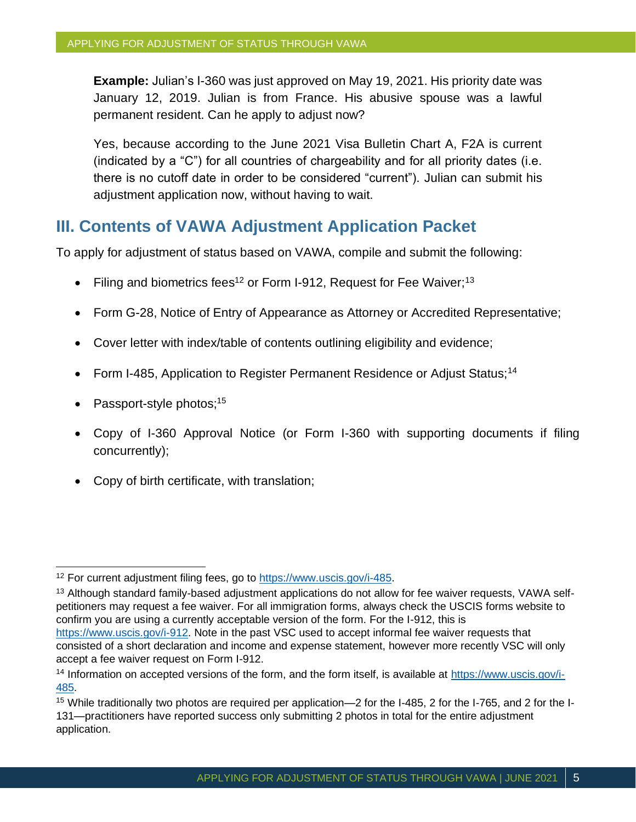**Example:** Julian's I-360 was just approved on May 19, 2021. His priority date was January 12, 2019. Julian is from France. His abusive spouse was a lawful permanent resident. Can he apply to adjust now?

Yes, because according to the June 2021 Visa Bulletin Chart A, F2A is current (indicated by a "C") for all countries of chargeability and for all priority dates (i.e. there is no cutoff date in order to be considered "current"). Julian can submit his adjustment application now, without having to wait.

## **III. Contents of VAWA Adjustment Application Packet**

To apply for adjustment of status based on VAWA, compile and submit the following:

- Filing and biometrics fees<sup>12</sup> or Form I-912, Request for Fee Waiver;<sup>13</sup>
- Form G-28, Notice of Entry of Appearance as Attorney or Accredited Representative;
- Cover letter with index/table of contents outlining eligibility and evidence;
- Form I-485, Application to Register Permanent Residence or Adjust Status;<sup>14</sup>
- Passport-style photos; $15$
- Copy of I-360 Approval Notice (or Form I-360 with supporting documents if filing concurrently);
- Copy of birth certificate, with translation;

<sup>12</sup> For current adjustment filing fees, go to [https://www.uscis.gov/i-485.](https://www.uscis.gov/i-485)

<sup>&</sup>lt;sup>13</sup> Although standard family-based adjustment applications do not allow for fee waiver requests, VAWA selfpetitioners may request a fee waiver. For all immigration forms, always check the USCIS forms website to confirm you are using a currently acceptable version of the form. For the I-912, this is

[https://www.uscis.gov/i-912.](https://www.uscis.gov/i-912) Note in the past VSC used to accept informal fee waiver requests that consisted of a short declaration and income and expense statement, however more recently VSC will only accept a fee waiver request on Form I-912.

<sup>&</sup>lt;sup>14</sup> Information on accepted versions of the form, and the form itself, is available at [https://www.uscis.gov/i-](https://www.uscis.gov/i-485)[485.](https://www.uscis.gov/i-485)

<sup>15</sup> While traditionally two photos are required per application—2 for the I-485, 2 for the I-765, and 2 for the I-131—practitioners have reported success only submitting 2 photos in total for the entire adjustment application.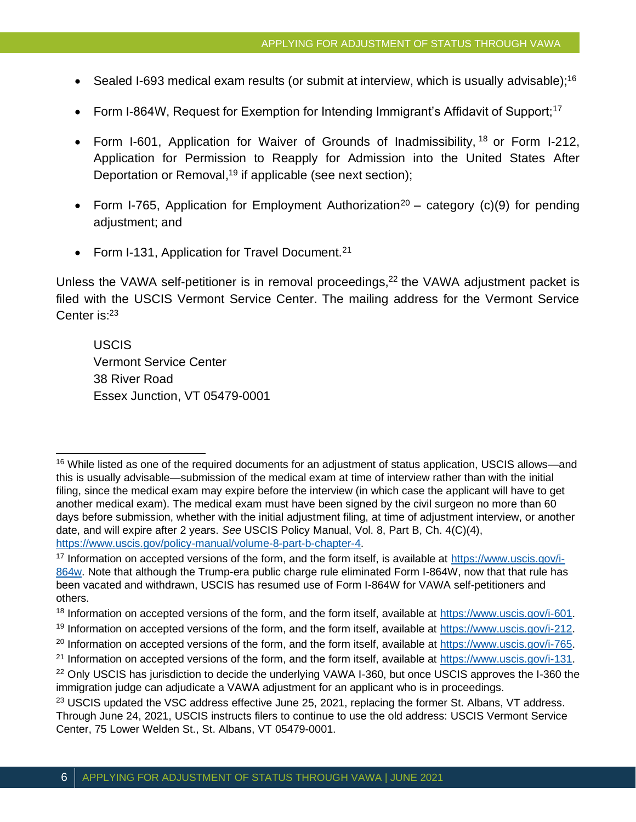- Sealed I-693 medical exam results (or submit at interview, which is usually advisable);<sup>16</sup>
- Form I-864W, Request for Exemption for Intending Immigrant's Affidavit of Support;<sup>17</sup>
- Form I-601, Application for Waiver of Grounds of Inadmissibility, <sup>18</sup> or Form I-212, Application for Permission to Reapply for Admission into the United States After Deportation or Removal,<sup>19</sup> if applicable (see next section);
- Form I-765, Application for Employment Authorization<sup>20</sup> category (c)(9) for pending adjustment; and
- Form I-131, Application for Travel Document.<sup>21</sup>

Unless the VAWA self-petitioner is in removal proceedings, $22$  the VAWA adjustment packet is filed with the USCIS Vermont Service Center. The mailing address for the Vermont Service Center is: 23

USCIS Vermont Service Center 38 River Road Essex Junction, VT 05479-0001

<sup>19</sup> Information on accepted versions of the form, and the form itself, available at [https://www.uscis.gov/i-212.](https://www.uscis.gov/i-212)

<sup>16</sup> While listed as one of the required documents for an adjustment of status application, USCIS allows—and this is usually advisable—submission of the medical exam at time of interview rather than with the initial filing, since the medical exam may expire before the interview (in which case the applicant will have to get another medical exam). The medical exam must have been signed by the civil surgeon no more than 60 days before submission, whether with the initial adjustment filing, at time of adjustment interview, or another date, and will expire after 2 years. *See* USCIS Policy Manual, Vol. 8, Part B, Ch. 4(C)(4), [https://www.uscis.gov/policy-manual/volume-8-part-b-chapter-4.](https://www.uscis.gov/policy-manual/volume-8-part-b-chapter-4)

<sup>17</sup> Information on accepted versions of the form, and the form itself, is available at [https://www.uscis.gov/i-](https://www.uscis.gov/i-864w)[864w.](https://www.uscis.gov/i-864w) Note that although the Trump-era public charge rule eliminated Form I-864W, now that that rule has been vacated and withdrawn, USCIS has resumed use of Form I-864W for VAWA self-petitioners and others.

<sup>18</sup> Information on accepted versions of the form, and the form itself, available at [https://www.uscis.gov/i-601.](https://www.uscis.gov/i-601)

<sup>&</sup>lt;sup>20</sup> Information on accepted versions of the form, and the form itself, available at [https://www.uscis.gov/i-765.](https://www.uscis.gov/i-765)

<sup>21</sup> Information on accepted versions of the form, and the form itself, available at [https://www.uscis.gov/i-131.](https://www.uscis.gov/i-131)

<sup>&</sup>lt;sup>22</sup> Only USCIS has jurisdiction to decide the underlying VAWA I-360, but once USCIS approves the I-360 the immigration judge can adjudicate a VAWA adjustment for an applicant who is in proceedings.

<sup>&</sup>lt;sup>23</sup> USCIS updated the VSC address effective June 25, 2021, replacing the former St. Albans, VT address. Through June 24, 2021, USCIS instructs filers to continue to use the old address: USCIS Vermont Service Center, 75 Lower Welden St., St. Albans, VT 05479-0001.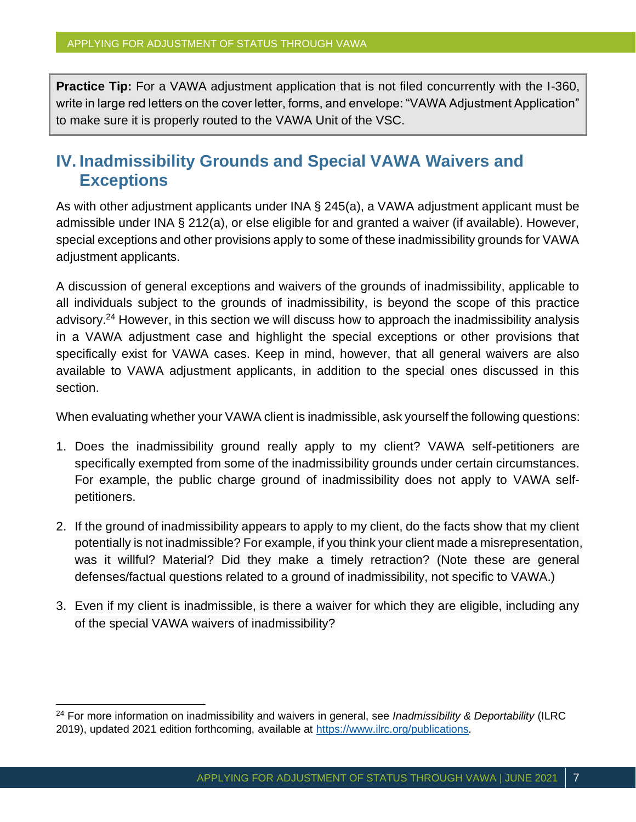**Practice Tip:** For a VAWA adjustment application that is not filed concurrently with the I-360, write in large red letters on the cover letter, forms, and envelope: "VAWA Adjustment Application" to make sure it is properly routed to the VAWA Unit of the VSC.

# **IV. Inadmissibility Grounds and Special VAWA Waivers and Exceptions**

As with other adjustment applicants under INA § 245(a), a VAWA adjustment applicant must be admissible under INA § 212(a), or else eligible for and granted a waiver (if available). However, special exceptions and other provisions apply to some of these inadmissibility grounds for VAWA adjustment applicants.

A discussion of general exceptions and waivers of the grounds of inadmissibility, applicable to all individuals subject to the grounds of inadmissibility, is beyond the scope of this practice advisory.<sup>24</sup> However, in this section we will discuss how to approach the inadmissibility analysis in a VAWA adjustment case and highlight the special exceptions or other provisions that specifically exist for VAWA cases. Keep in mind, however, that all general waivers are also available to VAWA adjustment applicants, in addition to the special ones discussed in this section.

When evaluating whether your VAWA client is inadmissible, ask yourself the following questions:

- 1. Does the inadmissibility ground really apply to my client? VAWA self-petitioners are specifically exempted from some of the inadmissibility grounds under certain circumstances. For example, the public charge ground of inadmissibility does not apply to VAWA selfpetitioners.
- 2. If the ground of inadmissibility appears to apply to my client, do the facts show that my client potentially is not inadmissible? For example, if you think your client made a misrepresentation, was it willful? Material? Did they make a timely retraction? (Note these are general defenses/factual questions related to a ground of inadmissibility, not specific to VAWA.)
- 3. Even if my client is inadmissible, is there a waiver for which they are eligible, including any of the special VAWA waivers of inadmissibility?

<sup>24</sup> For more information on inadmissibility and waivers in general, see *Inadmissibility & Deportability* (ILRC 2019), updated 2021 edition forthcoming, available at <https://www.ilrc.org/publications>*.*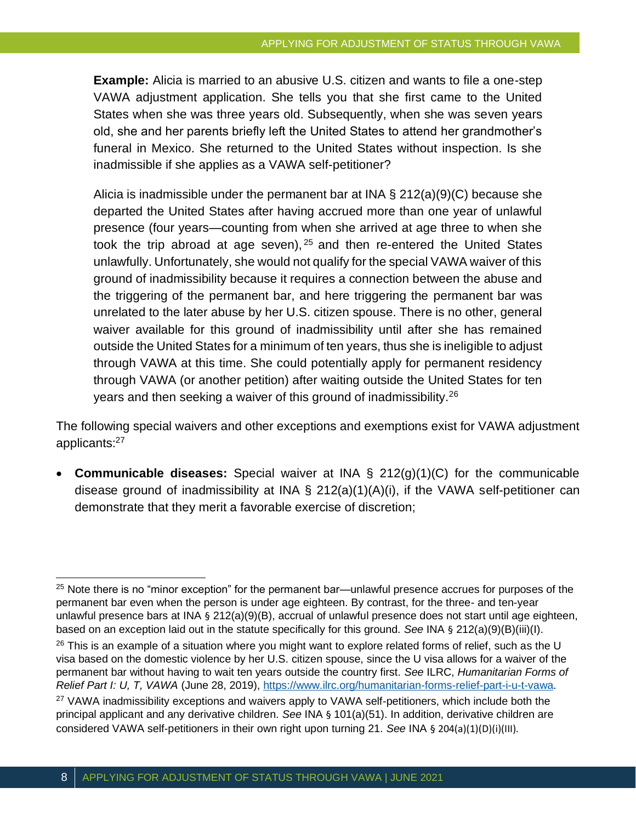**Example:** Alicia is married to an abusive U.S. citizen and wants to file a one-step VAWA adjustment application. She tells you that she first came to the United States when she was three years old. Subsequently, when she was seven years old, she and her parents briefly left the United States to attend her grandmother's funeral in Mexico. She returned to the United States without inspection. Is she inadmissible if she applies as a VAWA self-petitioner?

Alicia is inadmissible under the permanent bar at INA  $\S$  212(a)(9)(C) because she departed the United States after having accrued more than one year of unlawful presence (four years—counting from when she arrived at age three to when she took the trip abroad at age seven),  $25$  and then re-entered the United States unlawfully. Unfortunately, she would not qualify for the special VAWA waiver of this ground of inadmissibility because it requires a connection between the abuse and the triggering of the permanent bar, and here triggering the permanent bar was unrelated to the later abuse by her U.S. citizen spouse. There is no other, general waiver available for this ground of inadmissibility until after she has remained outside the United States for a minimum of ten years, thus she is ineligible to adjust through VAWA at this time. She could potentially apply for permanent residency through VAWA (or another petition) after waiting outside the United States for ten years and then seeking a waiver of this ground of inadmissibility.<sup>26</sup>

The following special waivers and other exceptions and exemptions exist for VAWA adjustment applicants:<sup>27</sup>

• **Communicable diseases:** Special waiver at INA § 212(g)(1)(C) for the communicable disease ground of inadmissibility at INA § 212(a)(1)(A)(i), if the VAWA self-petitioner can demonstrate that they merit a favorable exercise of discretion;

<sup>&</sup>lt;sup>25</sup> Note there is no "minor exception" for the permanent bar—unlawful presence accrues for purposes of the permanent bar even when the person is under age eighteen. By contrast, for the three- and ten-year unlawful presence bars at INA § 212(a)(9)(B), accrual of unlawful presence does not start until age eighteen, based on an exception laid out in the statute specifically for this ground. *See* INA § 212(a)(9)(B)(iii)(I).  $26$  This is an example of a situation where you might want to explore related forms of relief, such as the U visa based on the domestic violence by her U.S. citizen spouse, since the U visa allows for a waiver of the permanent bar without having to wait ten years outside the country first. *See* ILRC, *Humanitarian Forms of Relief Part I: U, T, VAWA* (June 28, 2019),<https://www.ilrc.org/humanitarian-forms-relief-part-i-u-t-vawa>.

<sup>&</sup>lt;sup>27</sup> VAWA inadmissibility exceptions and waivers apply to VAWA self-petitioners, which include both the principal applicant and any derivative children. *See* INA § 101(a)(51). In addition, derivative children are considered VAWA self-petitioners in their own right upon turning 21. *See* INA § 204(a)(1)(D)(i)(III).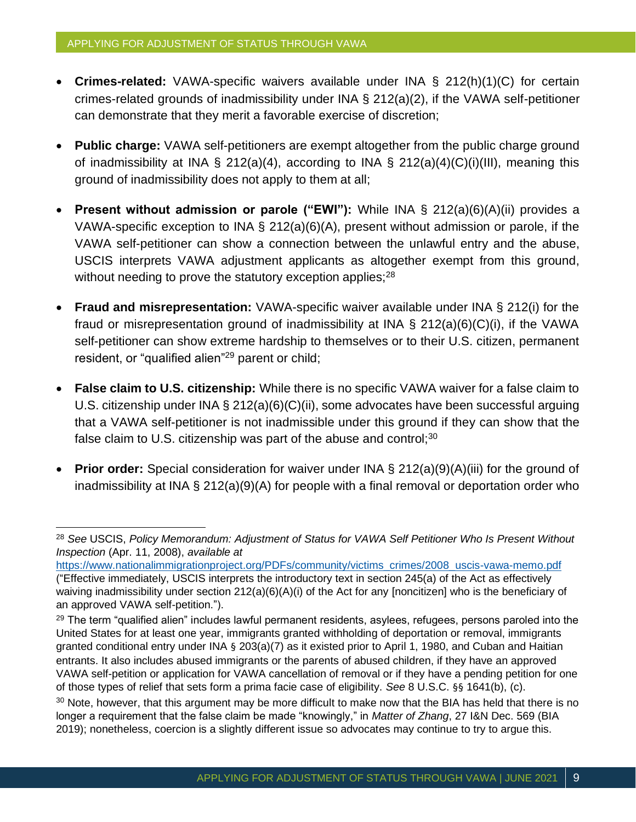- **Crimes-related:** VAWA-specific waivers available under INA § 212(h)(1)(C) for certain crimes-related grounds of inadmissibility under INA § 212(a)(2), if the VAWA self-petitioner can demonstrate that they merit a favorable exercise of discretion;
- **Public charge:** VAWA self-petitioners are exempt altogether from the public charge ground of inadmissibility at INA § 212(a)(4), according to INA § 212(a)(4)(C)(i)(III), meaning this ground of inadmissibility does not apply to them at all;
- **Present without admission or parole ("EWI"):** While INA § 212(a)(6)(A)(ii) provides a VAWA-specific exception to INA § 212(a)(6)(A), present without admission or parole, if the VAWA self-petitioner can show a connection between the unlawful entry and the abuse, USCIS interprets VAWA adjustment applicants as altogether exempt from this ground, without needing to prove the statutory exception applies;<sup>28</sup>
- **Fraud and misrepresentation:** VAWA-specific waiver available under INA § 212(i) for the fraud or misrepresentation ground of inadmissibility at INA § 212(a)(6)(C)(i), if the VAWA self-petitioner can show extreme hardship to themselves or to their U.S. citizen, permanent resident, or "qualified alien"<sup>29</sup> parent or child;
- **False claim to U.S. citizenship:** While there is no specific VAWA waiver for a false claim to U.S. citizenship under INA § 212(a)(6)(C)(ii), some advocates have been successful arguing that a VAWA self-petitioner is not inadmissible under this ground if they can show that the false claim to U.S. citizenship was part of the abuse and control; $30$
- **Prior order:** Special consideration for waiver under INA § 212(a)(9)(A)(iii) for the ground of inadmissibility at INA § 212(a)(9)(A) for people with a final removal or deportation order who

<sup>28</sup> *See* USCIS, *Policy Memorandum: Adjustment of Status for VAWA Self Petitioner Who Is Present Without Inspection* (Apr. 11, 2008), *available at*

[https://www.nationalimmigrationproject.org/PDFs/community/victims\\_crimes/2008\\_uscis-vawa-memo.pdf](https://www.nationalimmigrationproject.org/PDFs/community/victims_crimes/2008_uscis-vawa-memo.pdf) ("Effective immediately, USCIS interprets the introductory text in section 245(a) of the Act as effectively waiving inadmissibility under section 212(a)(6)(A)(i) of the Act for any [noncitizen] who is the beneficiary of an approved VAWA self-petition.").

<sup>&</sup>lt;sup>29</sup> The term "qualified alien" includes lawful permanent residents, asylees, refugees, persons paroled into the United States for at least one year, immigrants granted withholding of deportation or removal, immigrants granted conditional entry under INA § 203(a)(7) as it existed prior to April 1, 1980, and Cuban and Haitian entrants. It also includes abused immigrants or the parents of abused children, if they have an approved VAWA self-petition or application for VAWA cancellation of removal or if they have a pending petition for one of those types of relief that sets form a prima facie case of eligibility. *See* 8 U.S.C. §§ 1641(b), (c).

<sup>&</sup>lt;sup>30</sup> Note, however, that this argument may be more difficult to make now that the BIA has held that there is no longer a requirement that the false claim be made "knowingly," in *Matter of Zhang*, 27 I&N Dec. 569 (BIA 2019); nonetheless, coercion is a slightly different issue so advocates may continue to try to argue this.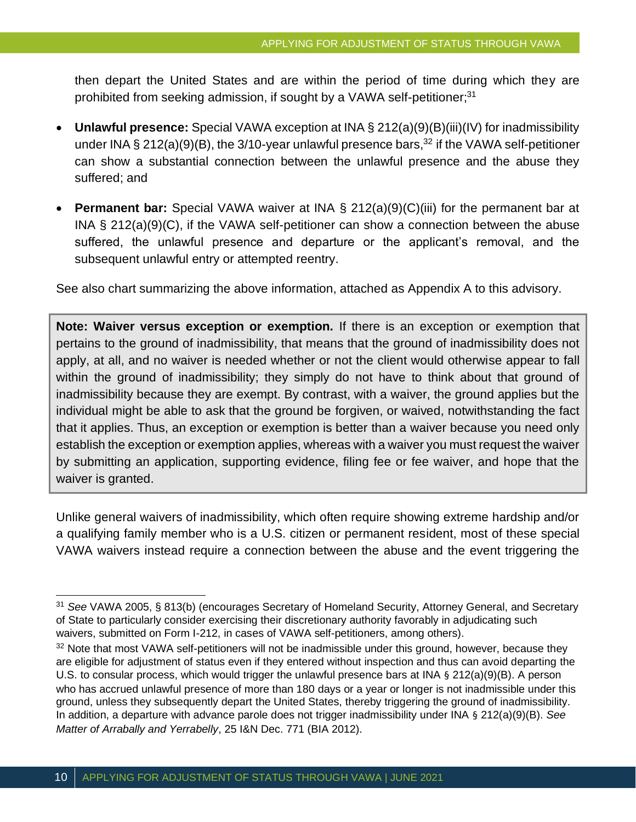then depart the United States and are within the period of time during which they are prohibited from seeking admission, if sought by a VAWA self-petitioner;<sup>31</sup>

- **Unlawful presence:** Special VAWA exception at INA § 212(a)(9)(B)(iii)(IV) for inadmissibility under INA § 212(a)(9)(B), the 3/10-year unlawful presence bars,<sup>32</sup> if the VAWA self-petitioner can show a substantial connection between the unlawful presence and the abuse they suffered; and
- **Permanent bar:** Special VAWA waiver at INA § 212(a)(9)(C)(iii) for the permanent bar at INA § 212(a)(9)(C), if the VAWA self-petitioner can show a connection between the abuse suffered, the unlawful presence and departure or the applicant's removal, and the subsequent unlawful entry or attempted reentry.

See also chart summarizing the above information, attached as Appendix A to this advisory.

**Note: Waiver versus exception or exemption.** If there is an exception or exemption that pertains to the ground of inadmissibility, that means that the ground of inadmissibility does not apply, at all, and no waiver is needed whether or not the client would otherwise appear to fall within the ground of inadmissibility; they simply do not have to think about that ground of inadmissibility because they are exempt. By contrast, with a waiver, the ground applies but the individual might be able to ask that the ground be forgiven, or waived, notwithstanding the fact that it applies. Thus, an exception or exemption is better than a waiver because you need only establish the exception or exemption applies, whereas with a waiver you must request the waiver by submitting an application, supporting evidence, filing fee or fee waiver, and hope that the waiver is granted.

Unlike general waivers of inadmissibility, which often require showing extreme hardship and/or a qualifying family member who is a U.S. citizen or permanent resident, most of these special VAWA waivers instead require a connection between the abuse and the event triggering the

<sup>31</sup> *See* VAWA 2005, § 813(b) (encourages Secretary of Homeland Security, Attorney General, and Secretary of State to particularly consider exercising their discretionary authority favorably in adjudicating such waivers, submitted on Form I-212, in cases of VAWA self-petitioners, among others).

<sup>&</sup>lt;sup>32</sup> Note that most VAWA self-petitioners will not be inadmissible under this ground, however, because they are eligible for adjustment of status even if they entered without inspection and thus can avoid departing the U.S. to consular process, which would trigger the unlawful presence bars at INA § 212(a)(9)(B). A person who has accrued unlawful presence of more than 180 days or a year or longer is not inadmissible under this ground, unless they subsequently depart the United States, thereby triggering the ground of inadmissibility. In addition, a departure with advance parole does not trigger inadmissibility under INA § 212(a)(9)(B). *See Matter of Arrabally and Yerrabelly*, 25 I&N Dec. 771 (BIA 2012).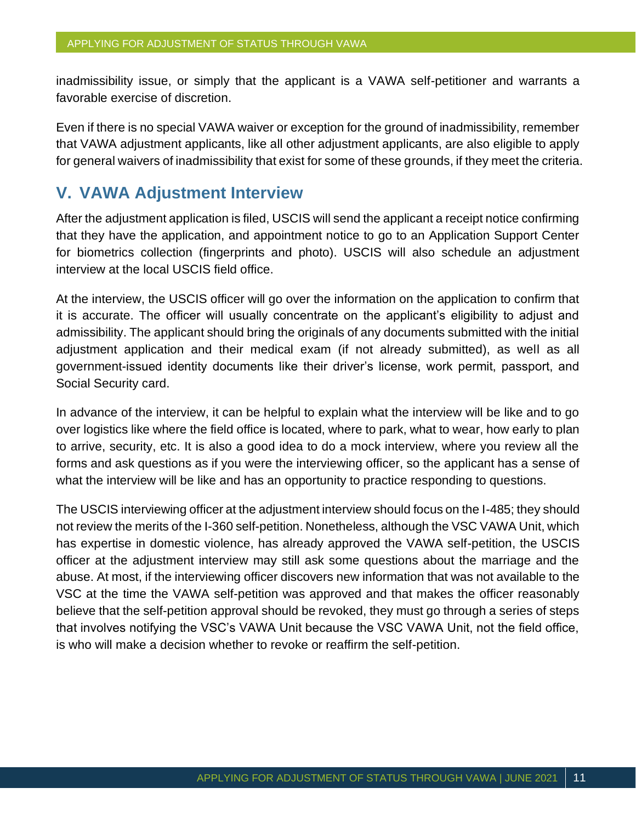inadmissibility issue, or simply that the applicant is a VAWA self-petitioner and warrants a favorable exercise of discretion.

Even if there is no special VAWA waiver or exception for the ground of inadmissibility, remember that VAWA adjustment applicants, like all other adjustment applicants, are also eligible to apply for general waivers of inadmissibility that exist for some of these grounds, if they meet the criteria.

#### **V. VAWA Adjustment Interview**

After the adjustment application is filed, USCIS will send the applicant a receipt notice confirming that they have the application, and appointment notice to go to an Application Support Center for biometrics collection (fingerprints and photo). USCIS will also schedule an adjustment interview at the local USCIS field office.

At the interview, the USCIS officer will go over the information on the application to confirm that it is accurate. The officer will usually concentrate on the applicant's eligibility to adjust and admissibility. The applicant should bring the originals of any documents submitted with the initial adjustment application and their medical exam (if not already submitted), as well as all government-issued identity documents like their driver's license, work permit, passport, and Social Security card.

In advance of the interview, it can be helpful to explain what the interview will be like and to go over logistics like where the field office is located, where to park, what to wear, how early to plan to arrive, security, etc. It is also a good idea to do a mock interview, where you review all the forms and ask questions as if you were the interviewing officer, so the applicant has a sense of what the interview will be like and has an opportunity to practice responding to questions.

The USCIS interviewing officer at the adjustment interview should focus on the I-485; they should not review the merits of the I-360 self-petition. Nonetheless, although the VSC VAWA Unit, which has expertise in domestic violence, has already approved the VAWA self-petition, the USCIS officer at the adjustment interview may still ask some questions about the marriage and the abuse. At most, if the interviewing officer discovers new information that was not available to the VSC at the time the VAWA self-petition was approved and that makes the officer reasonably believe that the self-petition approval should be revoked, they must go through a series of steps that involves notifying the VSC's VAWA Unit because the VSC VAWA Unit, not the field office, is who will make a decision whether to revoke or reaffirm the self-petition.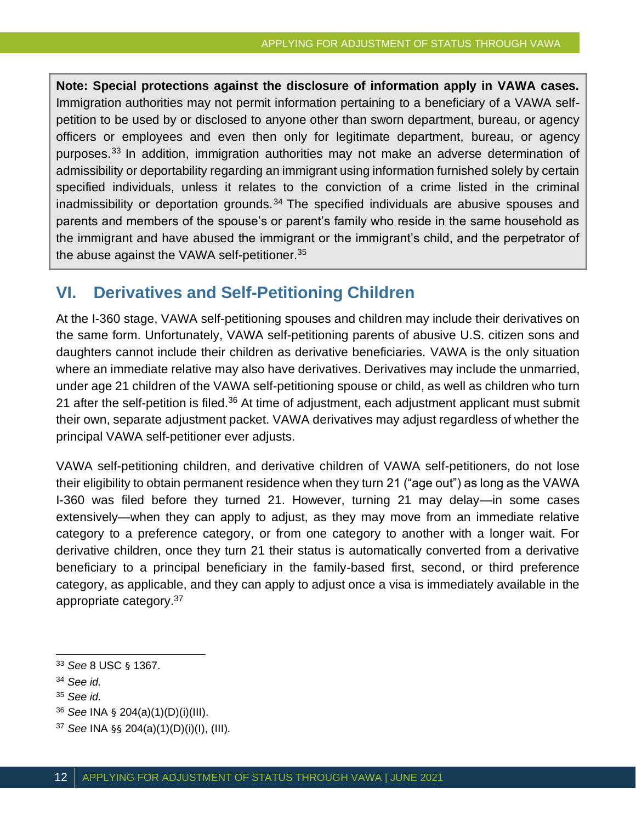**Note: Special protections against the disclosure of information apply in VAWA cases.** Immigration authorities may not permit information pertaining to a beneficiary of a VAWA selfpetition to be used by or disclosed to anyone other than sworn department, bureau, or agency officers or employees and even then only for legitimate department, bureau, or agency purposes.<sup>33</sup> In addition, immigration authorities may not make an adverse determination of admissibility or deportability regarding an immigrant using information furnished solely by certain specified individuals, unless it relates to the conviction of a crime listed in the criminal inadmissibility or deportation grounds.<sup>34</sup> The specified individuals are abusive spouses and parents and members of the spouse's or parent's family who reside in the same household as the immigrant and have abused the immigrant or the immigrant's child, and the perpetrator of the abuse against the VAWA self-petitioner.<sup>35</sup>

## **VI. Derivatives and Self-Petitioning Children**

At the I-360 stage, VAWA self-petitioning spouses and children may include their derivatives on the same form. Unfortunately, VAWA self-petitioning parents of abusive U.S. citizen sons and daughters cannot include their children as derivative beneficiaries. VAWA is the only situation where an immediate relative may also have derivatives. Derivatives may include the unmarried, under age 21 children of the VAWA self-petitioning spouse or child, as well as children who turn 21 after the self-petition is filed.<sup>36</sup> At time of adjustment, each adjustment applicant must submit their own, separate adjustment packet. VAWA derivatives may adjust regardless of whether the principal VAWA self-petitioner ever adjusts.

VAWA self-petitioning children, and derivative children of VAWA self-petitioners, do not lose their eligibility to obtain permanent residence when they turn 21 ("age out") as long as the VAWA I-360 was filed before they turned 21. However, turning 21 may delay—in some cases extensively—when they can apply to adjust, as they may move from an immediate relative category to a preference category, or from one category to another with a longer wait. For derivative children, once they turn 21 their status is automatically converted from a derivative beneficiary to a principal beneficiary in the family-based first, second, or third preference category, as applicable, and they can apply to adjust once a visa is immediately available in the appropriate category.<sup>37</sup>

<sup>33</sup> *See* 8 USC § 1367.

<sup>34</sup> *See id.*

<sup>35</sup> *See id.*

<sup>36</sup> *See* INA § 204(a)(1)(D)(i)(III).

<sup>37</sup> *See* INA §§ 204(a)(1)(D)(i)(I), (III).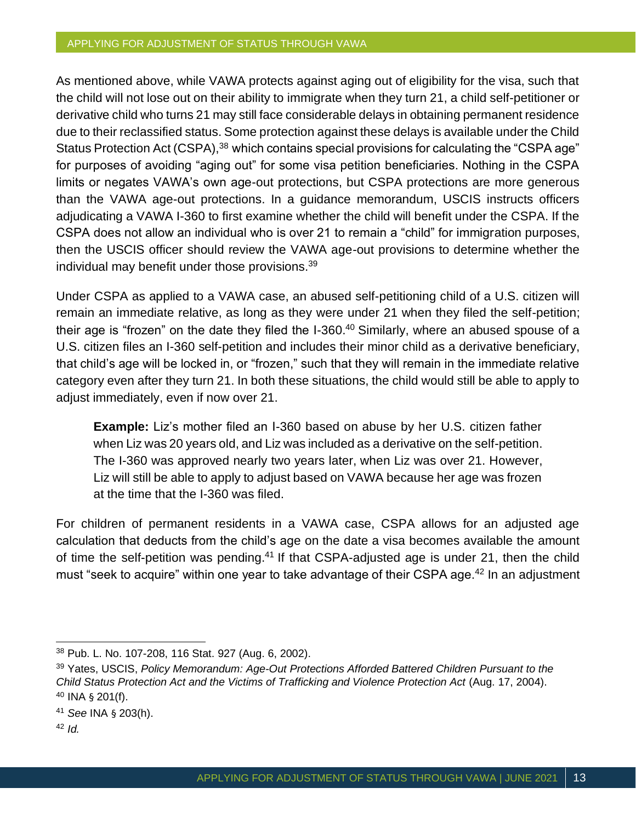#### APPLYING FOR ADJUSTMENT OF STATUS THROUGH VAWA

As mentioned above, while VAWA protects against aging out of eligibility for the visa, such that the child will not lose out on their ability to immigrate when they turn 21, a child self-petitioner or derivative child who turns 21 may still face considerable delays in obtaining permanent residence due to their reclassified status. Some protection against these delays is available under the Child Status Protection Act (CSPA),<sup>38</sup> which contains special provisions for calculating the "CSPA age" for purposes of avoiding "aging out" for some visa petition beneficiaries. Nothing in the CSPA limits or negates VAWA's own age-out protections, but CSPA protections are more generous than the VAWA age-out protections. In a guidance memorandum, USCIS instructs officers adjudicating a VAWA I-360 to first examine whether the child will benefit under the CSPA. If the CSPA does not allow an individual who is over 21 to remain a "child" for immigration purposes, then the USCIS officer should review the VAWA age-out provisions to determine whether the individual may benefit under those provisions.<sup>39</sup>

Under CSPA as applied to a VAWA case, an abused self-petitioning child of a U.S. citizen will remain an immediate relative, as long as they were under 21 when they filed the self-petition; their age is "frozen" on the date they filed the  $I-360$ .<sup>40</sup> Similarly, where an abused spouse of a U.S. citizen files an I-360 self-petition and includes their minor child as a derivative beneficiary, that child's age will be locked in, or "frozen," such that they will remain in the immediate relative category even after they turn 21. In both these situations, the child would still be able to apply to adjust immediately, even if now over 21.

**Example:** Liz's mother filed an I-360 based on abuse by her U.S. citizen father when Liz was 20 years old, and Liz was included as a derivative on the self-petition. The I-360 was approved nearly two years later, when Liz was over 21. However, Liz will still be able to apply to adjust based on VAWA because her age was frozen at the time that the I-360 was filed.

For children of permanent residents in a VAWA case, CSPA allows for an adjusted age calculation that deducts from the child's age on the date a visa becomes available the amount of time the self-petition was pending.<sup>41</sup> If that CSPA-adjusted age is under 21, then the child must "seek to acquire" within one year to take advantage of their CSPA age.<sup>42</sup> In an adjustment

<sup>42</sup> *Id.*

<sup>38</sup> Pub. L. No. 107-208, 116 Stat. 927 (Aug. 6, 2002).

<sup>39</sup> Yates, USCIS, *Policy Memorandum: Age-Out Protections Afforded Battered Children Pursuant to the Child Status Protection Act and the Victims of Trafficking and Violence Protection Act* (Aug. 17, 2004). <sup>40</sup> INA § 201(f).

<sup>41</sup> *See* INA § 203(h).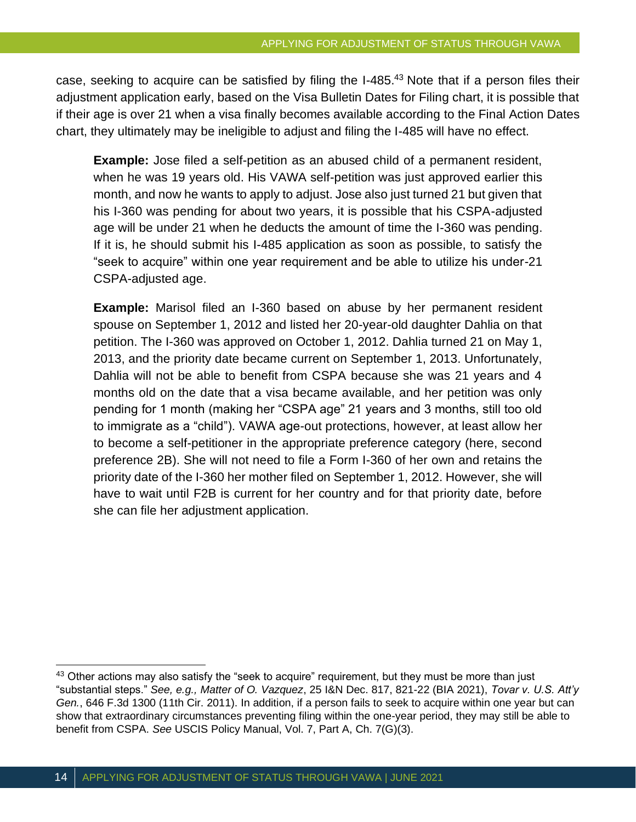case, seeking to acquire can be satisfied by filing the I-485.<sup>43</sup> Note that if a person files their adjustment application early, based on the Visa Bulletin Dates for Filing chart, it is possible that if their age is over 21 when a visa finally becomes available according to the Final Action Dates chart, they ultimately may be ineligible to adjust and filing the I-485 will have no effect.

**Example:** Jose filed a self-petition as an abused child of a permanent resident, when he was 19 years old. His VAWA self-petition was just approved earlier this month, and now he wants to apply to adjust. Jose also just turned 21 but given that his I-360 was pending for about two years, it is possible that his CSPA-adjusted age will be under 21 when he deducts the amount of time the I-360 was pending. If it is, he should submit his I-485 application as soon as possible, to satisfy the "seek to acquire" within one year requirement and be able to utilize his under-21 CSPA-adjusted age.

**Example:** Marisol filed an I-360 based on abuse by her permanent resident spouse on September 1, 2012 and listed her 20-year-old daughter Dahlia on that petition. The I-360 was approved on October 1, 2012. Dahlia turned 21 on May 1, 2013, and the priority date became current on September 1, 2013. Unfortunately, Dahlia will not be able to benefit from CSPA because she was 21 years and 4 months old on the date that a visa became available, and her petition was only pending for 1 month (making her "CSPA age" 21 years and 3 months, still too old to immigrate as a "child"). VAWA age-out protections, however, at least allow her to become a self-petitioner in the appropriate preference category (here, second preference 2B). She will not need to file a Form I-360 of her own and retains the priority date of the I-360 her mother filed on September 1, 2012. However, she will have to wait until F2B is current for her country and for that priority date, before she can file her adjustment application.

<sup>43</sup> Other actions may also satisfy the "seek to acquire" requirement, but they must be more than just "substantial steps." *See, e.g., Matter of O. Vazquez*, 25 I&N Dec. 817, 821-22 (BIA 2021), *Tovar v. U.S. Att'y Gen.*, 646 F.3d 1300 (11th Cir. 2011). In addition, if a person fails to seek to acquire within one year but can show that extraordinary circumstances preventing filing within the one-year period, they may still be able to benefit from CSPA. *See* USCIS Policy Manual, Vol. 7, Part A, Ch. 7(G)(3).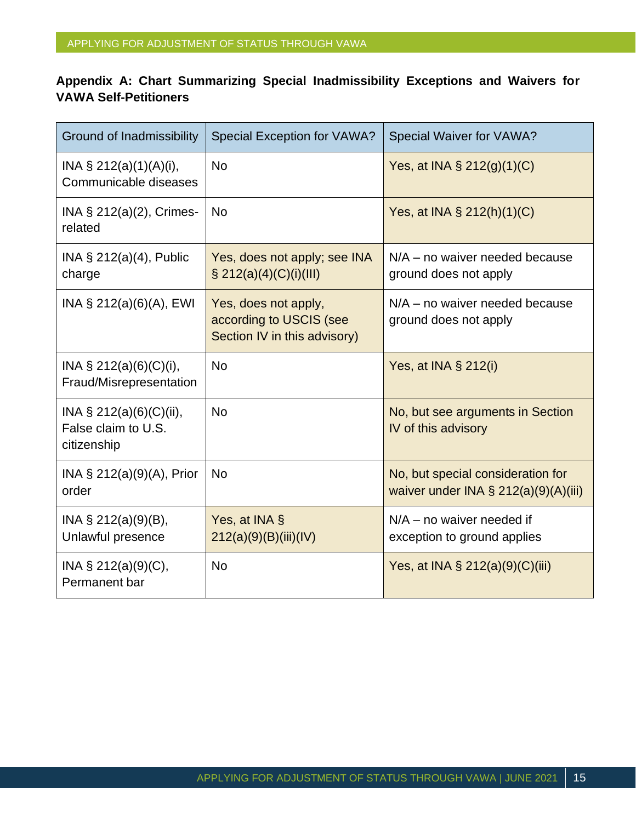#### **Appendix A: Chart Summarizing Special Inadmissibility Exceptions and Waivers for VAWA Self-Petitioners**

| <b>Ground of Inadmissibility</b>                                  | <b>Special Exception for VAWA?</b>                                              | Special Waiver for VAWA?                                                     |
|-------------------------------------------------------------------|---------------------------------------------------------------------------------|------------------------------------------------------------------------------|
| INA $\S$ 212(a)(1)(A)(i),<br>Communicable diseases                | <b>No</b>                                                                       | Yes, at INA $\S$ 212(g)(1)(C)                                                |
| INA § 212(a)(2), Crimes-<br>related                               | <b>No</b>                                                                       | Yes, at INA § 212(h)(1)(C)                                                   |
| INA $\S$ 212(a)(4), Public<br>charge                              | Yes, does not apply; see INA<br>$\S 212(a)(4)(C)(i)(III)$                       | $N/A$ – no waiver needed because<br>ground does not apply                    |
| INA § 212(a)(6)(A), EWI                                           | Yes, does not apply,<br>according to USCIS (see<br>Section IV in this advisory) | $N/A$ – no waiver needed because<br>ground does not apply                    |
| INA $\S$ 212(a)(6)(C)(i),<br>Fraud/Misrepresentation              | <b>No</b>                                                                       | Yes, at INA $\S$ 212(i)                                                      |
| INA $\S 212(a)(6)(C)(ii)$ ,<br>False claim to U.S.<br>citizenship | <b>No</b>                                                                       | No, but see arguments in Section<br>IV of this advisory                      |
| INA § 212(a)(9)(A), Prior<br>order                                | <b>No</b>                                                                       | No, but special consideration for<br>waiver under INA $\S$ 212(a)(9)(A)(iii) |
| INA $\S$ 212(a)(9)(B),<br>Unlawful presence                       | Yes, at INA §<br>212(a)(9)(B)(iii)(IV)                                          | $N/A$ – no waiver needed if<br>exception to ground applies                   |
| INA $\S$ 212(a)(9)(C),<br>Permanent bar                           | <b>No</b>                                                                       | Yes, at INA $\S$ 212(a)(9)(C)(iii)                                           |